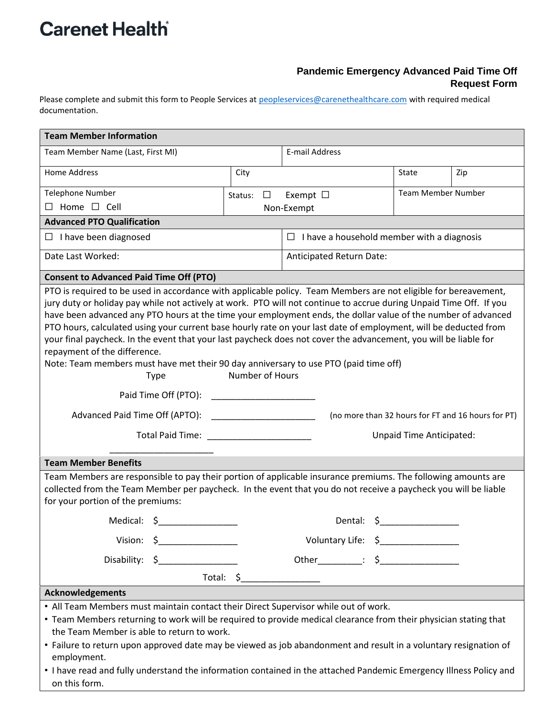## **Carenet Health**

## **Pandemic Emergency Advanced Paid Time Off Request Form**

Please complete and submit this form to People Services at peopleservices@carenethealthcare.com with required medical documentation.

| <b>Team Member Information</b>                                                                                                                                                                                                                                                                                                                                                                                                                                                                                                                                                                                                                                                                                                                            |                                    |                                                   |                           |     |  |  |
|-----------------------------------------------------------------------------------------------------------------------------------------------------------------------------------------------------------------------------------------------------------------------------------------------------------------------------------------------------------------------------------------------------------------------------------------------------------------------------------------------------------------------------------------------------------------------------------------------------------------------------------------------------------------------------------------------------------------------------------------------------------|------------------------------------|---------------------------------------------------|---------------------------|-----|--|--|
| Team Member Name (Last, First MI)                                                                                                                                                                                                                                                                                                                                                                                                                                                                                                                                                                                                                                                                                                                         |                                    | E-mail Address                                    |                           |     |  |  |
| Home Address                                                                                                                                                                                                                                                                                                                                                                                                                                                                                                                                                                                                                                                                                                                                              | City                               |                                                   | State                     | Zip |  |  |
| <b>Telephone Number</b>                                                                                                                                                                                                                                                                                                                                                                                                                                                                                                                                                                                                                                                                                                                                   | Status:<br>$\Box$                  | Exempt $\Box$                                     | <b>Team Member Number</b> |     |  |  |
| $\Box$ Home $\Box$ Cell                                                                                                                                                                                                                                                                                                                                                                                                                                                                                                                                                                                                                                                                                                                                   |                                    | Non-Exempt                                        |                           |     |  |  |
| <b>Advanced PTO Qualification</b>                                                                                                                                                                                                                                                                                                                                                                                                                                                                                                                                                                                                                                                                                                                         |                                    |                                                   |                           |     |  |  |
| $\Box$ I have been diagnosed                                                                                                                                                                                                                                                                                                                                                                                                                                                                                                                                                                                                                                                                                                                              |                                    | $\Box$ I have a household member with a diagnosis |                           |     |  |  |
| Date Last Worked:                                                                                                                                                                                                                                                                                                                                                                                                                                                                                                                                                                                                                                                                                                                                         |                                    | Anticipated Return Date:                          |                           |     |  |  |
| <b>Consent to Advanced Paid Time Off (PTO)</b>                                                                                                                                                                                                                                                                                                                                                                                                                                                                                                                                                                                                                                                                                                            |                                    |                                                   |                           |     |  |  |
| PTO is required to be used in accordance with applicable policy. Team Members are not eligible for bereavement,<br>jury duty or holiday pay while not actively at work. PTO will not continue to accrue during Unpaid Time Off. If you<br>have been advanced any PTO hours at the time your employment ends, the dollar value of the number of advanced<br>PTO hours, calculated using your current base hourly rate on your last date of employment, will be deducted from<br>your final paycheck. In the event that your last paycheck does not cover the advancement, you will be liable for<br>repayment of the difference.<br>Note: Team members must have met their 90 day anniversary to use PTO (paid time off)<br>Number of Hours<br><b>Type</b> |                                    |                                                   |                           |     |  |  |
|                                                                                                                                                                                                                                                                                                                                                                                                                                                                                                                                                                                                                                                                                                                                                           |                                    |                                                   |                           |     |  |  |
| Advanced Paid Time Off (APTO): 2000 2012 2022 2023<br>(no more than 32 hours for FT and 16 hours for PT)                                                                                                                                                                                                                                                                                                                                                                                                                                                                                                                                                                                                                                                  |                                    |                                                   |                           |     |  |  |
| Total Paid Time: The Contract of the Contract of the Contract of the Contract of the Contract of the Contract o                                                                                                                                                                                                                                                                                                                                                                                                                                                                                                                                                                                                                                           | Unpaid Time Anticipated:           |                                                   |                           |     |  |  |
| <b>Team Member Benefits</b>                                                                                                                                                                                                                                                                                                                                                                                                                                                                                                                                                                                                                                                                                                                               |                                    |                                                   |                           |     |  |  |
| Team Members are responsible to pay their portion of applicable insurance premiums. The following amounts are<br>collected from the Team Member per paycheck. In the event that you do not receive a paycheck you will be liable<br>for your portion of the premiums:                                                                                                                                                                                                                                                                                                                                                                                                                                                                                     |                                    |                                                   |                           |     |  |  |
| Medical: \$                                                                                                                                                                                                                                                                                                                                                                                                                                                                                                                                                                                                                                                                                                                                               |                                    | Dental: $\zeta$                                   |                           |     |  |  |
| Vision: \$                                                                                                                                                                                                                                                                                                                                                                                                                                                                                                                                                                                                                                                                                                                                                | Voluntary Life: \$________________ |                                                   |                           |     |  |  |
| Disability: \$                                                                                                                                                                                                                                                                                                                                                                                                                                                                                                                                                                                                                                                                                                                                            |                                    | Other___________: \$_________________             |                           |     |  |  |
| Total: \$                                                                                                                                                                                                                                                                                                                                                                                                                                                                                                                                                                                                                                                                                                                                                 |                                    |                                                   |                           |     |  |  |
| <b>Acknowledgements</b>                                                                                                                                                                                                                                                                                                                                                                                                                                                                                                                                                                                                                                                                                                                                   |                                    |                                                   |                           |     |  |  |
| . All Team Members must maintain contact their Direct Supervisor while out of work.<br>• Team Members returning to work will be required to provide medical clearance from their physician stating that<br>the Team Member is able to return to work.<br>• Failure to return upon approved date may be viewed as job abandonment and result in a voluntary resignation of<br>employment.<br>• I have read and fully understand the information contained in the attached Pandemic Emergency Illness Policy and                                                                                                                                                                                                                                            |                                    |                                                   |                           |     |  |  |
| on this form.                                                                                                                                                                                                                                                                                                                                                                                                                                                                                                                                                                                                                                                                                                                                             |                                    |                                                   |                           |     |  |  |